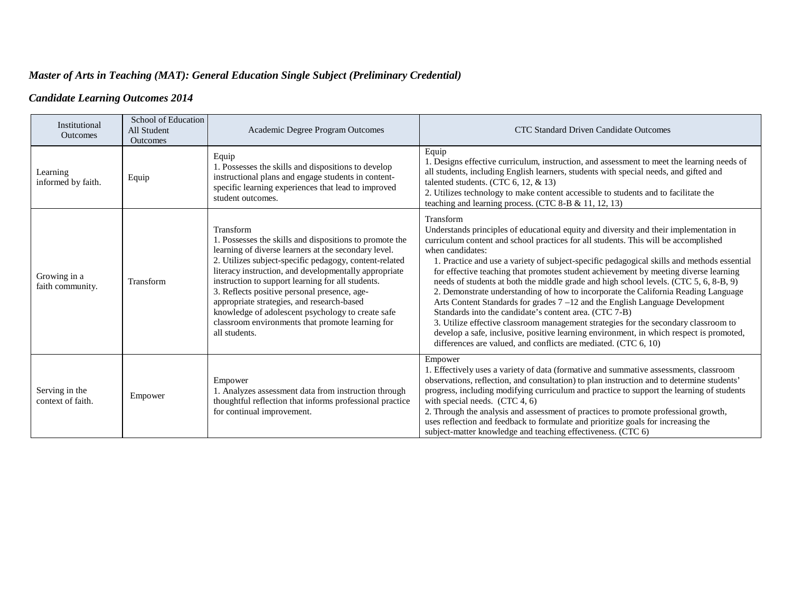## *Master of Arts in Teaching (MAT): General Education Single Subject (Preliminary Credential)*

## *Candidate Learning Outcomes 2014*

| Institutional<br><b>Outcomes</b>    | School of Education<br>All Student<br><b>Outcomes</b> | Academic Degree Program Outcomes                                                                                                                                                                                                                                                                                                                                                                                                                                                                                             | CTC Standard Driven Candidate Outcomes                                                                                                                                                                                                                                                                                                                                                                                                                                                                                                                                                                                                                                                                                                                                                                                                                                                                                                                                             |
|-------------------------------------|-------------------------------------------------------|------------------------------------------------------------------------------------------------------------------------------------------------------------------------------------------------------------------------------------------------------------------------------------------------------------------------------------------------------------------------------------------------------------------------------------------------------------------------------------------------------------------------------|------------------------------------------------------------------------------------------------------------------------------------------------------------------------------------------------------------------------------------------------------------------------------------------------------------------------------------------------------------------------------------------------------------------------------------------------------------------------------------------------------------------------------------------------------------------------------------------------------------------------------------------------------------------------------------------------------------------------------------------------------------------------------------------------------------------------------------------------------------------------------------------------------------------------------------------------------------------------------------|
| Learning<br>informed by faith.      | Equip                                                 | Equip<br>1. Possesses the skills and dispositions to develop<br>instructional plans and engage students in content-<br>specific learning experiences that lead to improved<br>student outcomes.                                                                                                                                                                                                                                                                                                                              | Equip<br>1. Designs effective curriculum, instruction, and assessment to meet the learning needs of<br>all students, including English learners, students with special needs, and gifted and<br>talented students. (CTC $6, 12, \& 13)$<br>2. Utilizes technology to make content accessible to students and to facilitate the<br>teaching and learning process. (CTC 8-B & 11, 12, 13)                                                                                                                                                                                                                                                                                                                                                                                                                                                                                                                                                                                            |
| Growing in a<br>faith community.    | Transform                                             | Transform<br>1. Possesses the skills and dispositions to promote the<br>learning of diverse learners at the secondary level.<br>2. Utilizes subject-specific pedagogy, content-related<br>literacy instruction, and developmentally appropriate<br>instruction to support learning for all students.<br>3. Reflects positive personal presence, age-<br>appropriate strategies, and research-based<br>knowledge of adolescent psychology to create safe<br>classroom environments that promote learning for<br>all students. | Transform<br>Understands principles of educational equity and diversity and their implementation in<br>curriculum content and school practices for all students. This will be accomplished<br>when candidates:<br>1. Practice and use a variety of subject-specific pedagogical skills and methods essential<br>for effective teaching that promotes student achievement by meeting diverse learning<br>needs of students at both the middle grade and high school levels. (CTC 5, 6, 8-B, 9)<br>2. Demonstrate understanding of how to incorporate the California Reading Language<br>Arts Content Standards for grades 7 -12 and the English Language Development<br>Standards into the candidate's content area. (CTC 7-B)<br>3. Utilize effective classroom management strategies for the secondary classroom to<br>develop a safe, inclusive, positive learning environment, in which respect is promoted,<br>differences are valued, and conflicts are mediated. (CTC 6, 10) |
| Serving in the<br>context of faith. | Empower                                               | Empower<br>1. Analyzes assessment data from instruction through<br>thoughtful reflection that informs professional practice<br>for continual improvement.                                                                                                                                                                                                                                                                                                                                                                    | Empower<br>1. Effectively uses a variety of data (formative and summative assessments, classroom<br>observations, reflection, and consultation) to plan instruction and to determine students'<br>progress, including modifying curriculum and practice to support the learning of students<br>with special needs. $(CTC 4, 6)$<br>2. Through the analysis and assessment of practices to promote professional growth,<br>uses reflection and feedback to formulate and prioritize goals for increasing the<br>subject-matter knowledge and teaching effectiveness. (CTC 6)                                                                                                                                                                                                                                                                                                                                                                                                        |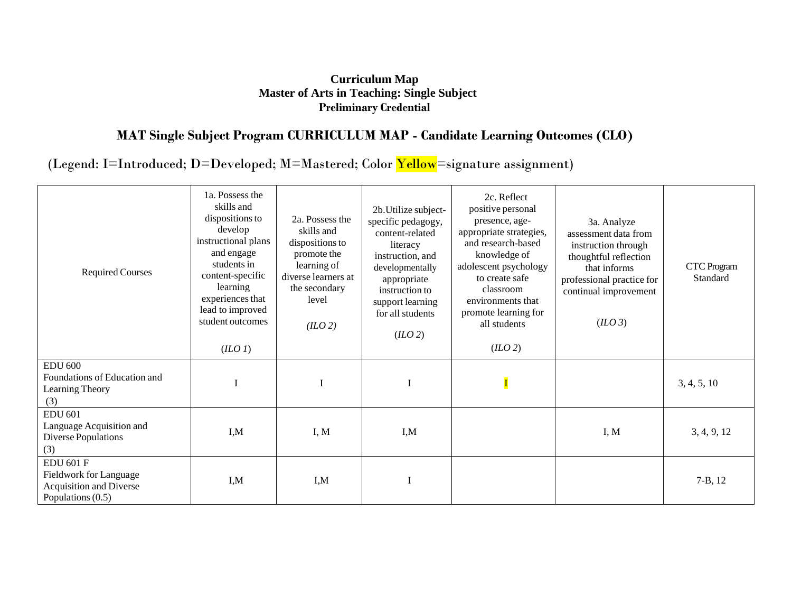## **Curriculum Map Master of Arts in Teaching: Single Subject Preliminary Credential**

## **MAT Single Subject Program CURRICULUM MAP - Candidate Learning Outcomes (CLO)**

(Legend: I=Introduced; D=Developed; M=Mastered; Color Yellow=signature assignment)

| <b>Required Courses</b>                                                                           | 1a. Possess the<br>skills and<br>dispositions to<br>develop<br>instructional plans<br>and engage<br>students in<br>content-specific<br>learning<br>experiences that<br>lead to improved<br>student outcomes<br>(IIO1) | 2a. Possess the<br>skills and<br>dispositions to<br>promote the<br>learning of<br>diverse learners at<br>the secondary<br>level<br>(II.02) | 2b. Utilize subject-<br>specific pedagogy,<br>content-related<br>literacy<br>instruction, and<br>developmentally<br>appropriate<br>instruction to<br>support learning<br>for all students<br>(2) | 2c. Reflect<br>positive personal<br>presence, age-<br>appropriate strategies,<br>and research-based<br>knowledge of<br>adolescent psychology<br>to create safe<br>classroom<br>environments that<br>promote learning for<br>all students<br>(IIO2) | 3a. Analyze<br>assessment data from<br>instruction through<br>thoughtful reflection<br>that informs<br>professional practice for<br>continual improvement<br>(IIO 3) | CTC Program<br>Standard |
|---------------------------------------------------------------------------------------------------|-----------------------------------------------------------------------------------------------------------------------------------------------------------------------------------------------------------------------|--------------------------------------------------------------------------------------------------------------------------------------------|--------------------------------------------------------------------------------------------------------------------------------------------------------------------------------------------------|----------------------------------------------------------------------------------------------------------------------------------------------------------------------------------------------------------------------------------------------------|----------------------------------------------------------------------------------------------------------------------------------------------------------------------|-------------------------|
| <b>EDU 600</b><br>Foundations of Education and<br>Learning Theory<br>(3)                          |                                                                                                                                                                                                                       |                                                                                                                                            |                                                                                                                                                                                                  |                                                                                                                                                                                                                                                    |                                                                                                                                                                      | 3, 4, 5, 10             |
| <b>EDU 601</b><br>Language Acquisition and<br>Diverse Populations<br>(3)                          | I,M                                                                                                                                                                                                                   | I, M                                                                                                                                       | I, M                                                                                                                                                                                             |                                                                                                                                                                                                                                                    | I, M                                                                                                                                                                 | 3, 4, 9, 12             |
| <b>EDU 601 F</b><br><b>Fieldwork for Language</b><br>Acquisition and Diverse<br>Populations (0.5) | I,M                                                                                                                                                                                                                   | I,M                                                                                                                                        |                                                                                                                                                                                                  |                                                                                                                                                                                                                                                    |                                                                                                                                                                      | $7 - B$ , 12            |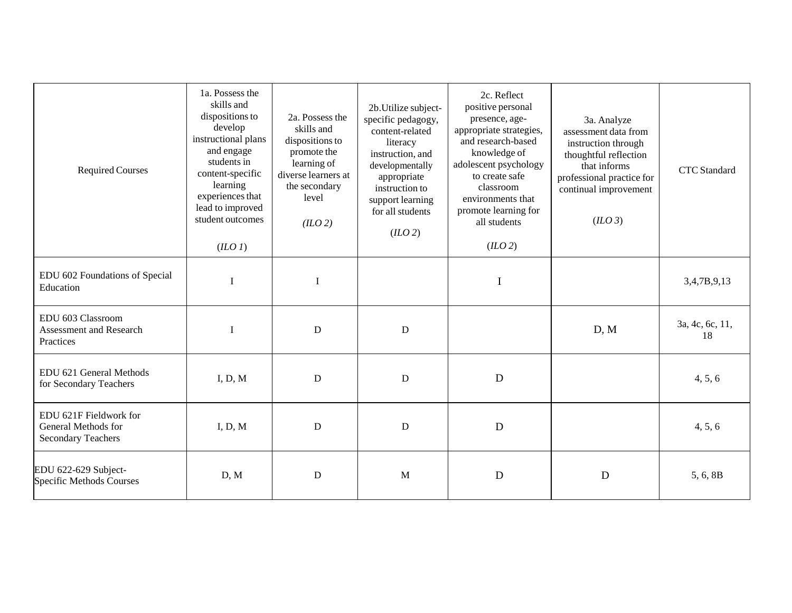| <b>Required Courses</b>                                                    | 1a. Possess the<br>skills and<br>dispositions to<br>develop<br>instructional plans<br>and engage<br>students in<br>content-specific<br>learning<br>experiences that<br>lead to improved<br>student outcomes<br>(IIOI) | 2a. Possess the<br>skills and<br>dispositions to<br>promote the<br>learning of<br>diverse learners at<br>the secondary<br>level<br>(IIO2) | 2b. Utilize subject-<br>specific pedagogy,<br>content-related<br>literacy<br>instruction, and<br>developmentally<br>appropriate<br>instruction to<br>support learning<br>for all students<br>(IIO 2) | 2c. Reflect<br>positive personal<br>presence, age-<br>appropriate strategies,<br>and research-based<br>knowledge of<br>adolescent psychology<br>to create safe<br>classroom<br>environments that<br>promote learning for<br>all students<br>(IIO 2) | 3a. Analyze<br>assessment data from<br>instruction through<br>thoughtful reflection<br>that informs<br>professional practice for<br>continual improvement<br>(ILO 3) | <b>CTC</b> Standard   |
|----------------------------------------------------------------------------|-----------------------------------------------------------------------------------------------------------------------------------------------------------------------------------------------------------------------|-------------------------------------------------------------------------------------------------------------------------------------------|------------------------------------------------------------------------------------------------------------------------------------------------------------------------------------------------------|-----------------------------------------------------------------------------------------------------------------------------------------------------------------------------------------------------------------------------------------------------|----------------------------------------------------------------------------------------------------------------------------------------------------------------------|-----------------------|
| EDU 602 Foundations of Special<br>Education                                | I                                                                                                                                                                                                                     | $\rm I$                                                                                                                                   |                                                                                                                                                                                                      | $\bf I$                                                                                                                                                                                                                                             |                                                                                                                                                                      | 3,4,7B,9,13           |
| EDU 603 Classroom<br>Assessment and Research<br>Practices                  | I                                                                                                                                                                                                                     | $\mathbf D$                                                                                                                               | $\mathbf D$                                                                                                                                                                                          |                                                                                                                                                                                                                                                     | D, M                                                                                                                                                                 | 3a, 4c, 6c, 11,<br>18 |
| EDU 621 General Methods<br>for Secondary Teachers                          | I, D, M                                                                                                                                                                                                               | D                                                                                                                                         | D                                                                                                                                                                                                    | D                                                                                                                                                                                                                                                   |                                                                                                                                                                      | 4, 5, 6               |
| EDU 621F Fieldwork for<br>General Methods for<br><b>Secondary Teachers</b> | I, D, M                                                                                                                                                                                                               | D                                                                                                                                         | ${\bf D}$                                                                                                                                                                                            | $\mathbf D$                                                                                                                                                                                                                                         |                                                                                                                                                                      | 4, 5, 6               |
| EDU 622-629 Subject-<br><b>Specific Methods Courses</b>                    | D, M                                                                                                                                                                                                                  | D                                                                                                                                         | $\mathbf{M}$                                                                                                                                                                                         | D                                                                                                                                                                                                                                                   | D                                                                                                                                                                    | 5, 6, 8B              |